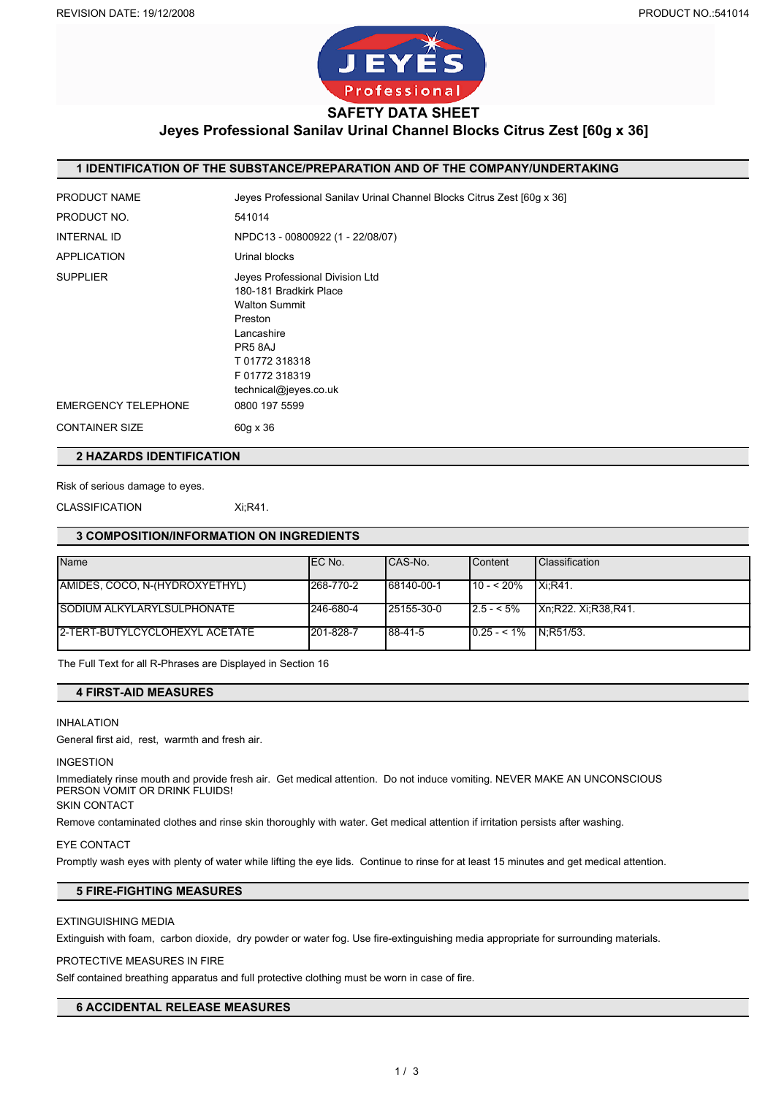

# **Jeyes Professional Sanilav Urinal Channel Blocks Citrus Zest [60g x 36]**

### **1 IDENTIFICATION OF THE SUBSTANCE/PREPARATION AND OF THE COMPANY/UNDERTAKING**

| <b>PRODUCT NAME</b>                           | Jeyes Professional Sanilav Urinal Channel Blocks Citrus Zest [60g x 36]                                                                                                                          |
|-----------------------------------------------|--------------------------------------------------------------------------------------------------------------------------------------------------------------------------------------------------|
| PRODUCT NO.                                   | 541014                                                                                                                                                                                           |
| <b>INTERNAL ID</b>                            | NPDC13 - 00800922 (1 - 22/08/07)                                                                                                                                                                 |
| <b>APPLICATION</b>                            | Urinal blocks                                                                                                                                                                                    |
| <b>SUPPLIER</b><br><b>EMERGENCY TELEPHONE</b> | Jeyes Professional Division Ltd<br>180-181 Bradkirk Place<br><b>Walton Summit</b><br>Preston<br>Lancashire<br>PR58AJ<br>T01772318318<br>F 01772 318319<br>technical@jeyes.co.uk<br>0800 197 5599 |
| <b>CONTAINER SIZE</b>                         | 60g x 36                                                                                                                                                                                         |
|                                               |                                                                                                                                                                                                  |

# **2 HAZARDS IDENTIFICATION**

## Risk of serious damage to eyes.

CLASSIFICATION Xi;R41.

### **3 COMPOSITION/INFORMATION ON INGREDIENTS**

| Name                              | IEC No.   | ICAS-No.   | <b>Content</b>           | <b>Classification</b>       |
|-----------------------------------|-----------|------------|--------------------------|-----------------------------|
|                                   |           |            |                          |                             |
| AMIDES, COCO, N-(HYDROXYETHYL)    | 268-770-2 | 68140-00-1 | l 10 - < 20%             | $Xi:R41$ .                  |
| <b>SODIUM ALKYLARYLSULPHONATE</b> | 246-680-4 | 25155-30-0 | $12.5 - 5\%$             | <b>IXn:R22. Xi:R38.R41.</b> |
| I2-TERT-BUTYLCYCLOHEXYL ACETATE   | 201-828-7 | 88-41-5    | $10.25 - 1\%$ IN:R51/53. |                             |

The Full Text for all R-Phrases are Displayed in Section 16

## **4 FIRST-AID MEASURES**

#### INHALATION

General first aid, rest, warmth and fresh air.

### INGESTION

Immediately rinse mouth and provide fresh air. Get medical attention. Do not induce vomiting. NEVER MAKE AN UNCONSCIOUS PERSON VOMIT OR DRINK FLUIDS!

# SKIN CONTACT

Remove contaminated clothes and rinse skin thoroughly with water. Get medical attention if irritation persists after washing.

#### EYE CONTACT

Promptly wash eyes with plenty of water while lifting the eye lids. Continue to rinse for at least 15 minutes and get medical attention.

# **5 FIRE-FIGHTING MEASURES**

# EXTINGUISHING MEDIA

Extinguish with foam, carbon dioxide, dry powder or water fog. Use fire-extinguishing media appropriate for surrounding materials.

#### PROTECTIVE MEASURES IN FIRE

Self contained breathing apparatus and full protective clothing must be worn in case of fire.

# **6 ACCIDENTAL RELEASE MEASURES**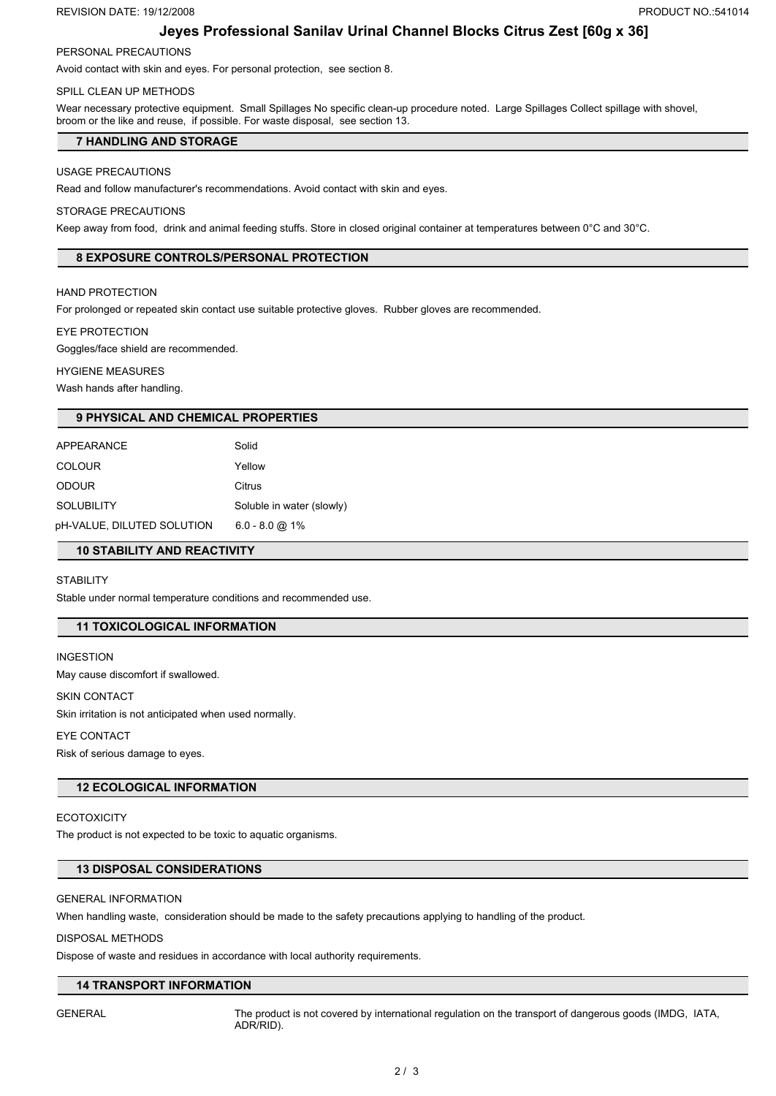#### REVISION DATE: 19/12/2008 **PRODUCT NO.:541014**

# **Jeyes Professional Sanilav Urinal Channel Blocks Citrus Zest [60g x 36]**

# PERSONAL PRECAUTIONS

Avoid contact with skin and eyes. For personal protection, see section 8.

# SPILL CLEAN UP METHODS

Wear necessary protective equipment. Small Spillages No specific clean-up procedure noted. Large Spillages Collect spillage with shovel, broom or the like and reuse, if possible. For waste disposal, see section 13.

# **7 HANDLING AND STORAGE**

## USAGE PRECAUTIONS

Read and follow manufacturer's recommendations. Avoid contact with skin and eyes.

### STORAGE PRECAUTIONS

Keep away from food, drink and animal feeding stuffs. Store in closed original container at temperatures between 0°C and 30°C.

# **8 EXPOSURE CONTROLS/PERSONAL PROTECTION**

### HAND PROTECTION

For prolonged or repeated skin contact use suitable protective gloves. Rubber gloves are recommended.

#### EYE PROTECTION

Goggles/face shield are recommended.

#### HYGIENE MEASURES

Wash hands after handling.

## **9 PHYSICAL AND CHEMICAL PROPERTIES**

| APPEARANCE                 | Solid                     |
|----------------------------|---------------------------|
| <b>COLOUR</b>              | Yellow                    |
| <b>ODOUR</b>               | Citrus                    |
| <b>SOLUBILITY</b>          | Soluble in water (slowly) |
| pH-VALUE, DILUTED SOLUTION | $6.0 - 8.0$ @ 1%          |

## **10 STABILITY AND REACTIVITY**

## **STABILITY**

Stable under normal temperature conditions and recommended use.

# **11 TOXICOLOGICAL INFORMATION**

INGESTION May cause discomfort if swallowed.

#### SKIN CONTACT

Skin irritation is not anticipated when used normally.

# EYE CONTACT

Risk of serious damage to eyes.

# **12 ECOLOGICAL INFORMATION**

**ECOTOXICITY** The product is not expected to be toxic to aquatic organisms.

# **13 DISPOSAL CONSIDERATIONS**

## GENERAL INFORMATION

When handling waste, consideration should be made to the safety precautions applying to handling of the product.

## DISPOSAL METHODS

Dispose of waste and residues in accordance with local authority requirements.

## **14 TRANSPORT INFORMATION**

GENERAL The product is not covered by international regulation on the transport of dangerous goods (IMDG, IATA, ADR/RID).